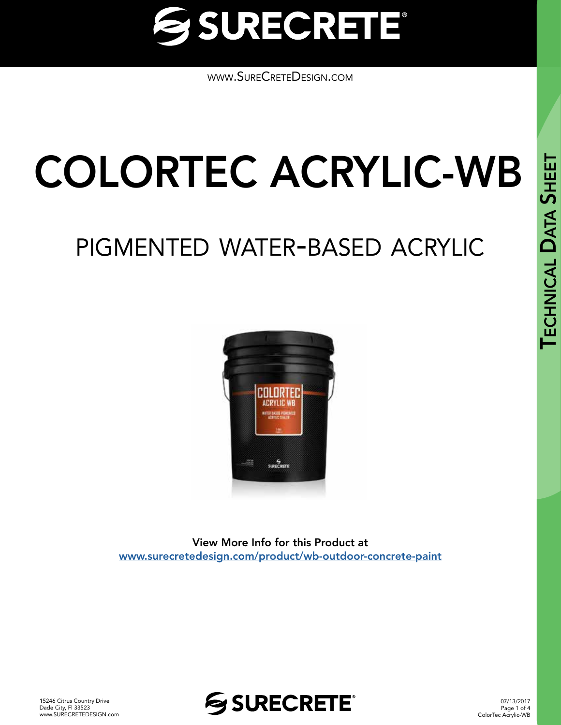

[www.SureCreteDesign.com](http://www.surecretedesign.com)

# COLORTEC ACRYLIC-WB

# pigmented water-based acrylic



View More Info for this Product at [www.surecretedesign.com/product/wb-outdoor-concrete-paint](https://www.surecretedesign.com/product/wb-outdoor-concrete-paint/)



07/13/2017 Page 1 of 4 ColorTec Acrylic-WB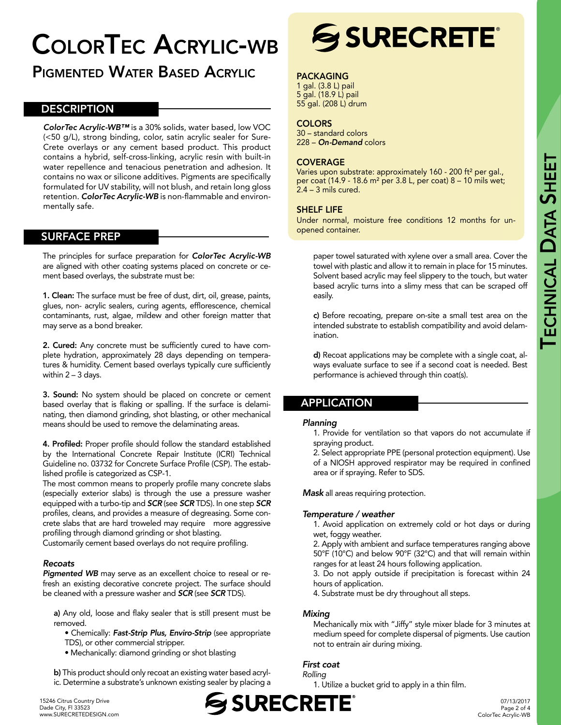# ColorTec Acrylic-wb

## Pigmented Water Based Acrylic

#### **DESCRIPTION**

*ColorTec Acrylic-WB™* is a 30% solids, water based, low VOC (<50 g/L), strong binding, color, satin acrylic sealer for Sure-Crete overlays or any cement based product. This product contains a hybrid, self-cross-linking, acrylic resin with built-in water repellence and tenacious penetration and adhesion. It contains no wax or silicone additives. Pigments are specifically formulated for UV stability, will not blush, and retain long gloss retention. *ColorTec Acrylic-WB* is non-flammable and environmentally safe.

#### SURFACE PREP

The principles for surface preparation for *ColorTec Acrylic-WB* are aligned with other coating systems placed on concrete or cement based overlays, the substrate must be:

1. Clean: The surface must be free of dust, dirt, oil, grease, paints, glues, non- acrylic sealers, curing agents, efflorescence, chemical contaminants, rust, algae, mildew and other foreign matter that may serve as a bond breaker.

2. Cured: Any concrete must be sufficiently cured to have complete hydration, approximately 28 days depending on temperatures & humidity. Cement based overlays typically cure sufficiently within 2 – 3 days.

3. Sound: No system should be placed on concrete or cement based overlay that is flaking or spalling. If the surface is delaminating, then diamond grinding, shot blasting, or other mechanical means should be used to remove the delaminating areas.

4. Profiled: Proper profile should follow the standard established by the International Concrete Repair Institute (ICRI) Technical Guideline no. 03732 for Concrete Surface Profile (CSP). The established profile is categorized as CSP-1.

The most common means to properly profile many concrete slabs (especially exterior slabs) is through the use a pressure washer equipped with a turbo-tip and *SCR* (see *SCR* TDS). In one step *SCR* profiles, cleans, and provides a measure of degreasing. Some concrete slabs that are hard troweled may require more aggressive profiling through diamond grinding or shot blasting.

Customarily cement based overlays do not require profiling.

#### *Recoats*

*Pigmented WB* may serve as an excellent choice to reseal or refresh an existing decorative concrete project. The surface should be cleaned with a pressure washer and *SCR* (see *SCR* TDS).

a) Any old, loose and flaky sealer that is still present must be removed.

• Chemically: *Fast-Strip Plus, Enviro-Strip* (see appropriate TDS), or other commercial stripper.

• Mechanically: diamond grinding or shot blasting

b) This product should only recoat an existing water based acrylic. Determine a substrate's unknown existing sealer by placing a



#### PACKAGING

1 gal. (3.8 L) pail 5 gal. (18.9 L) pail 55 gal. (208 L) drum

#### **COLORS**

30 – standard colors 228 – *On-Demand* colors

#### COVERAGE

Varies upon substrate: approximately 160 - 200 ft<sup>2</sup> per gal., per coat (14.9 - 18.6 m² per 3.8 L, per coat) 8 – 10 mils wet; 2.4 – 3 mils cured.

#### SHELF LIFE

Under normal, moisture free conditions 12 months for unopened container.

paper towel saturated with xylene over a small area. Cover the towel with plastic and allow it to remain in place for 15 minutes. Solvent based acrylic may feel slippery to the touch, but water based acrylic turns into a slimy mess that can be scraped off easily.

c) Before recoating, prepare on-site a small test area on the intended substrate to establish compatibility and avoid delamination.

d) Recoat applications may be complete with a single coat, always evaluate surface to see if a second coat is needed. Best performance is achieved through thin coat(s).

#### APPLICATION

#### *Planning*

1. Provide for ventilation so that vapors do not accumulate if spraying product.

2. Select appropriate PPE (personal protection equipment). Use of a NIOSH approved respirator may be required in confined area or if spraying. Refer to SDS.

*Mask* all areas requiring protection.

#### *Temperature / weather*

1. Avoid application on extremely cold or hot days or during wet, foggy weather.

2. Apply with ambient and surface temperatures ranging above 50°F (10°C) and below 90°F (32°C) and that will remain within ranges for at least 24 hours following application.

3. Do not apply outside if precipitation is forecast within 24 hours of application.

4. Substrate must be dry throughout all steps.

#### *Mixing*

Mechanically mix with "Jiffy" style mixer blade for 3 minutes at medium speed for complete dispersal of pigments. Use caution not to entrain air during mixing.

#### *First coat*

*Rolling* 

1. Utilize a bucket grid to apply in a thin film.



07/13/2017 Page 2 of 4 ColorTec Acrylic-WB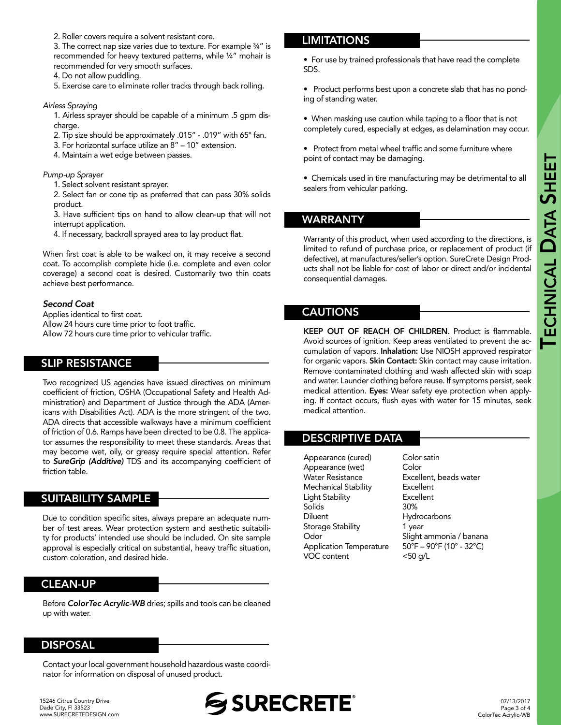2. Roller covers require a solvent resistant core.

3. The correct nap size varies due to texture. For example ¾" is recommended for heavy textured patterns, while ¼" mohair is recommended for very smooth surfaces.

4. Do not allow puddling.

5. Exercise care to eliminate roller tracks through back rolling.

#### *Airless Spraying*

1. Airless sprayer should be capable of a minimum .5 gpm discharge.

- 2. Tip size should be approximately .015" .019" with 65° fan.
- 3. For horizontal surface utilize an 8" 10" extension.
- 4. Maintain a wet edge between passes.

#### *Pump-up Sprayer*

1. Select solvent resistant sprayer.

2. Select fan or cone tip as preferred that can pass 30% solids product.

3. Have sufficient tips on hand to allow clean-up that will not interrupt application.

4. If necessary, backroll sprayed area to lay product flat.

When first coat is able to be walked on, it may receive a second coat. To accomplish complete hide (i.e. complete and even color coverage) a second coat is desired. Customarily two thin coats achieve best performance.

#### *Second Coat*

Applies identical to first coat. Allow 24 hours cure time prior to foot traffic. Allow 72 hours cure time prior to vehicular traffic.

#### SLIP RESISTANCE

Two recognized US agencies have issued directives on minimum coefficient of friction, OSHA (Occupational Safety and Health Administration) and Department of Justice through the ADA (Americans with Disabilities Act). ADA is the more stringent of the two. ADA directs that accessible walkways have a minimum coefficient of friction of 0.6. Ramps have been directed to be 0.8. The applicator assumes the responsibility to meet these standards. Areas that may become wet, oily, or greasy require special attention. Refer to *SureGrip (Additive)* TDS and its accompanying coefficient of friction table.

#### SUITABILITY SAMPLE

Due to condition specific sites, always prepare an adequate number of test areas. Wear protection system and aesthetic suitability for products' intended use should be included. On site sample approval is especially critical on substantial, heavy traffic situation, custom coloration, and desired hide.

#### CLEAN-UP

Before *ColorTec Acrylic-WB* dries; spills and tools can be cleaned up with water.

#### DISPOSAL

Contact your local government household hazardous waste coordinator for information on disposal of unused product.

#### **LIMITATIONS**

• For use by trained professionals that have read the complete SDS.

• Product performs best upon a concrete slab that has no ponding of standing water.

• When masking use caution while taping to a floor that is not completely cured, especially at edges, as delamination may occur.

• Protect from metal wheel traffic and some furniture where point of contact may be damaging.

• Chemicals used in tire manufacturing may be detrimental to all sealers from vehicular parking.

#### WARRANTY

Warranty of this product, when used according to the directions, is limited to refund of purchase price, or replacement of product (if defective), at manufactures/seller's option. SureCrete Design Products shall not be liable for cost of labor or direct and/or incidental consequential damages.

#### CAUTIONS

KEEP OUT OF REACH OF CHILDREN. Product is flammable. Avoid sources of ignition. Keep areas ventilated to prevent the accumulation of vapors. Inhalation: Use NIOSH approved respirator for organic vapors. Skin Contact: Skin contact may cause irritation. Remove contaminated clothing and wash affected skin with soap and water. Launder clothing before reuse. If symptoms persist, seek medical attention. Eyes: Wear safety eye protection when applying. If contact occurs, flush eyes with water for 15 minutes, seek medical attention.

#### DESCRIPTIVE DATA

Appearance (cured) Color satin Appearance (wet) Color Water Resistance **Excellent**, beads water Mechanical Stability Excellent Light Stability Excellent Solids 30% Diluent Hydrocarbons Storage Stability 1 year Odor Slight ammonia / banana Application Temperature 50°F – 90°F (10° - 32°C) VOC content <50 g/L

07/13/2017 Page 3 of 4 ColorTec Acrylic-WB